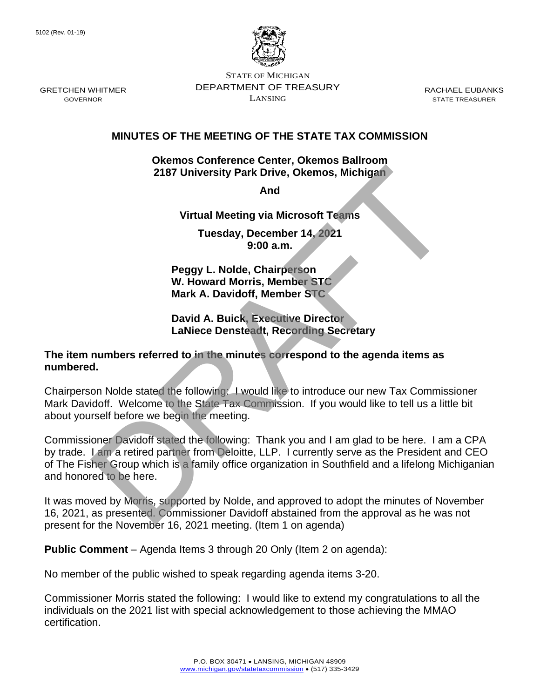

STATE OF MICHIGAN DEPARTMENT OF TREASURY LANSING

RACHAEL EUBANKS STATE TREASURER

## **MINUTES OF THE MEETING OF THE STATE TAX COMMISSION**

#### **Okemos Conference Center, Okemos Ballroom 2187 University Park Drive, Okemos, Michigan**

**And** 

**Virtual Meeting via Microsoft Teams**

**Tuesday, December 14, 2021 9:00 a.m.**

**Peggy L. Nolde, Chairperson W. Howard Morris, Member STC Mark A. Davidoff, Member STC**

## **David A. Buick, Executive Director LaNiece Densteadt, Recording Secretary**

### **The item numbers referred to in the minutes correspond to the agenda items as numbered.**

Chairperson Nolde stated the following: I would like to introduce our new Tax Commissioner Mark Davidoff. Welcome to the State Tax Commission. If you would like to tell us a little bit about yourself before we begin the meeting.

Commissioner Davidoff stated the following: Thank you and I am glad to be here. I am a CPA by trade. I am a retired partner from Deloitte, LLP. I currently serve as the President and CEO of The Fisher Group which is a family office organization in Southfield and a lifelong Michiganian and honored to be here. 2187 University Park Drive, Okemos, Michigan<br>
And<br>
Microsoft Teams<br>
Tuesday, December 14, 2021<br>
9:00 a.m.<br>
Peggy L. Nolde, Chairperson<br>
W. Howard Morris, Member STC<br>
Mark A. Davidoff, Member STC<br>
David A. Buick, Executive

It was moved by Morris, supported by Nolde, and approved to adopt the minutes of November 16, 2021, as presented. Commissioner Davidoff abstained from the approval as he was not present for the November 16, 2021 meeting. (Item 1 on agenda)

**Public Comment** – Agenda Items 3 through 20 Only (Item 2 on agenda):

No member of the public wished to speak regarding agenda items 3-20.

Commissioner Morris stated the following: I would like to extend my congratulations to all the individuals on the 2021 list with special acknowledgement to those achieving the MMAO certification.

GRETCHEN WHITMER GOVERNOR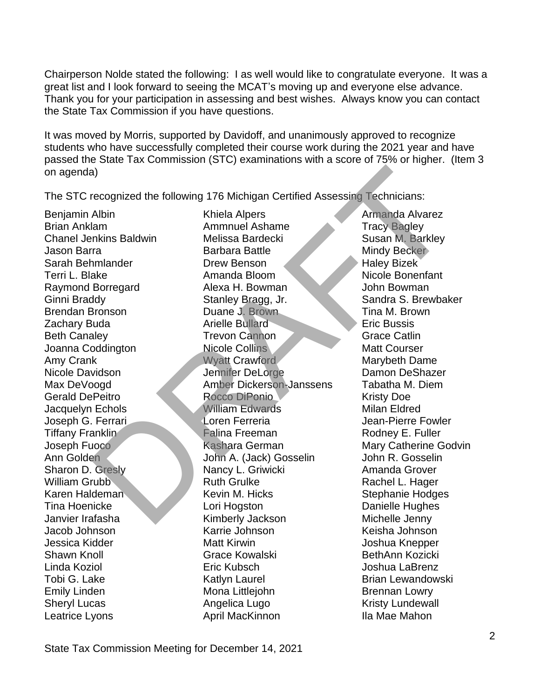Chairperson Nolde stated the following: I as well would like to congratulate everyone. It was a great list and I look forward to seeing the MCAT's moving up and everyone else advance. Thank you for your participation in assessing and best wishes. Always know you can contact the State Tax Commission if you have questions.

It was moved by Morris, supported by Davidoff, and unanimously approved to recognize students who have successfully completed their course work during the 2021 year and have passed the State Tax Commission (STC) examinations with a score of 75% or higher. (Item 3 on agenda)

The STC recognized the following 176 Michigan Certified Assessing Technicians:

Leatrice Lyons **April MacKinnon** Ila Mae Mahon

Benjamin Albin Khiela Alpers Armanda Alvarez Brian Anklam **Ammnuel Ashame** Tracy Bagley Chanel Jenkins Baldwin Melissa Bardecki Susan M. Barkley **Jason Barra National Barbara Battle Mindy Becker** Sarah Behmlander **Drew Benson** Maley Bizek Terri L. Blake Amanda Bloom Nicole Bonenfant Raymond Borregard **Alexa H. Bowman** John Bowman Ginni Braddy Stanley Bragg, Jr. Sandra S. Brewbaker Brendan Bronson **Duane J. Brown** Tina M. Brown **Zachary Buda Arielle Bullard Eric Bussis** Beth Canaley **Trevon Cannon** Grace Catlin Joanna Coddington Nicole Collins Matt Courser Amy Crank Music Crawford Music Marybeth Dame Nicole Davidson **Jennifer DeLorge** Damon DeShazer Max DeVoogd **Amber Dickerson-Janssens** Tabatha M. Diem Gerald DePeitro **Rocco DiPonio** Kristy Doe Jacquelyn Echols William Edwards Milan Eldred Joseph G. Ferrari Loren Ferreria Jean-Pierre Fowler Tiffany Franklin Falina Freeman Rodney E. Fuller Joseph Fuoco Kashara German Mary Catherine Godvin Ann Golden John A. (Jack) Gosselin John R. Gosselin Sharon D. Gresly **Nancy L. Griwicki** Amanda Grover William Grubb Ruth Grulke Rachel L. Hager Karen Haldeman Kevin M. Hicks Stephanie Hodges Tina Hoenicke Lori Hogston Danielle Hughes Janvier Irafasha Kimberly Jackson Michelle Jenny Jacob Johnson Karrie Johnson Keisha Johnson Jessica Kidder Matt Kirwin Matt Kirwin Joshua Knepper Shawn Knoll Grace Kowalski BethAnn Kozicki Linda Koziol Eric Kubsch Joshua LaBrenz Tobi G. Lake **Katlyn Laurel Communist Communist Communist** Lewandowski Emily Linden **Mona Littlejohn** Brennan Lowry Sheryl Lucas **Angelica Lugo** Kristy Lundewall a<br>
Amanda Alvarez<br>
Albin Khiela Alpers<br>
Amanda Alvarez<br>
Minim Ammunel Ashame<br>
Minim Amanda Alvarez<br>
Tracy Bagley<br>
Minim Badwin<br>
Tracy Bagge and Schar Tracy Bagge and Schar Minim Barkley<br>
Minim Backley<br>
Minim Badwin<br>
Tracy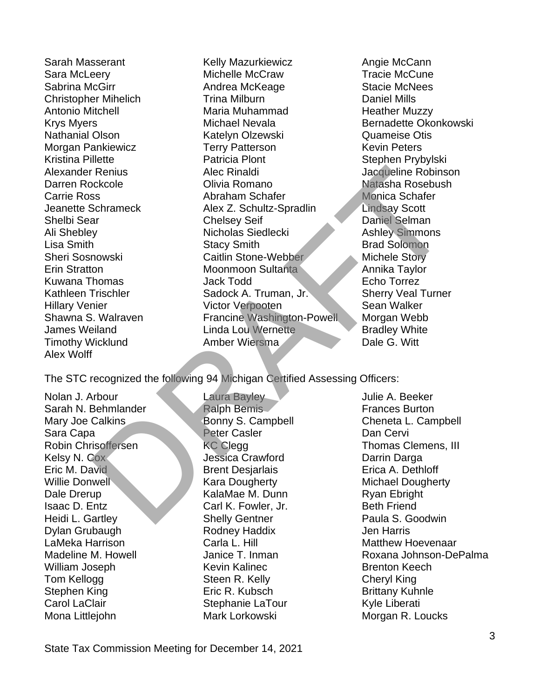Alex Wolff

Sarah Masserant The Mazurkiewicz The Angie McCann Sara McLeery Michelle McCraw Tracie McCune Sabrina McGirr **Andrea McKeage** Stacie McNees Christopher Mihelich Trina Milburn Daniel Mills Antonio Mitchell **Maria Muhammad** Heather Muzzy Krys Myers **Michael Nevala** Bernadette Okonkowski Nathanial Olson Katelyn Olzewski Quameise Otis Morgan Pankiewicz Terry Patterson Kevin Peters Kristina Pillette **Patricia Plont** Patricia Plont Stephen Prybylski Alexander Renius **Alec Rinaldi** Alexander Robinson Darren Rockcole Olivia Romano Natasha Rosebush Carrie Ross **Abraham Schafer** Monica Schafer Jeanette Schrameck Alex Z. Schultz-Spradlin Lindsay Scott Shelbi Sear Chelsey Seif Daniel Selman Ali Shebley **Nicholas Siedlecki** Ashley Simmons Lisa Smith Stacy Smith Brad Solomon Sheri Sosnowski Caitlin Stone-Webber Michele Story Erin Stratton **Moonmoon Sultanta** Annika Taylor Kuwana Thomas Jack Todd Echo Torrez Kathleen Trischler Sadock A. Truman, Jr. Sherry Veal Turner Hillary Venier **Victor Verpooten** Sean Walker Shawna S. Walraven **Francine Washington-Powell** Morgan Webb James Weiland **Linda Lou Wernette** Bradley White Timothy Wicklund Amber Wiersma Dale G. Witt Renius Alec Rinaldi<br>
Schrameck Olivia Romanno<br>
States Christman Schafer Monica Schafer<br>
Schrameck Alex 2. Schultz-Spradlin<br>
2. Schultz-Spradlin<br>
2. Schultz-Spradlin<br>
2. Monica Schafer<br>
2. Monica Schafer<br>
2. Monica Schafer<br>

The STC recognized the following 94 Michigan Certified Assessing Officers:

Nolan J. Arbour Laura Bayley Julie A. Beeker Sarah N. Behmlander Ralph Bemis Frances Burton Mary Joe Calkins **Bonny S. Campbell** Cheneta L. Campbell Cheneta L. Campbell Sara Capa Peter Casler Dan Cervi Robin Chrisoffersen **KC Clegg Thomas Clemens, III** Kelsy N. Cox **Marga Crawford Crawford** Darrin Darga Eric M. David **Brent Desiarlais** Brent Desiarlais Erica A. Dethloff Willie Donwell **Kara Dougherty** Michael Dougherty Dale Drerup **KalaMae M. Dunn** Ryan Ebright **Isaac D. Entz** Carl K. Fowler, Jr. Beth Friend Heidi L. Gartley **Shelly Gentner** Paula S. Goodwin Dylan Grubaugh Rodney Haddix Jen Harris LaMeka Harrison **Carla L. Hill Matthew Hoevenaar** Carla L. Hill Matthew Hoevenaar William Joseph Kevin Kalinec Brenton Keech Tom Kellogg **Steen R. Kelly Cheryl King** Stephen King **Eric R. Kubsch** Brittany Kuhnle Carol LaClair **Stephanie LaTour** Stephanie LaTour Kyle Liberati Mona Littlejohn Mark Lorkowski Morgan R. Loucks

Madeline M. Howell **Induce T. Janice T. Inman** Roxana Johnson-DePalma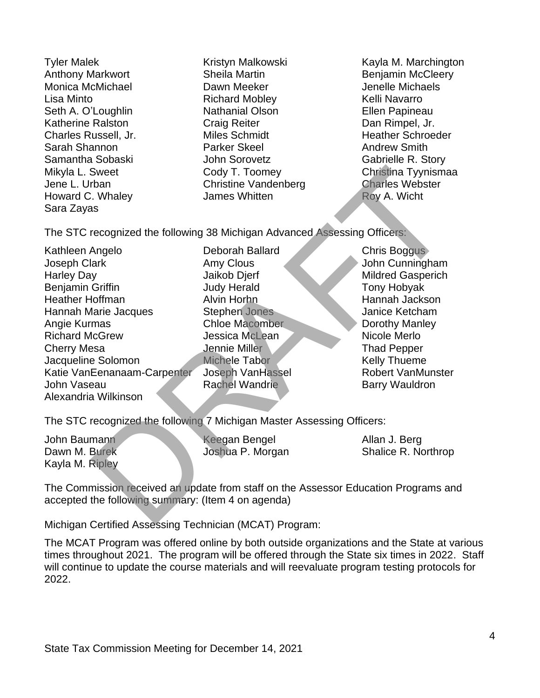Howard C. Whaley **James Whitten** Roy A. Wicht Sara Zayas

Anthony Markwort **Sheila Martin** Benjamin McCleery Monica McMichael **Dawn Meeker** Denelle Michaels Lisa Minto **Richard Mobley Richard Mobley Richard Mobley Right** Relli Navarro Seth A. O'Loughlin **Nathanial Olson Nathanial Olson** Ellen Papineau Katherine Ralston **Craig Reiter** Craig Reiter **Dan Rimpel, Jr.** Charles Russell, Jr. The Miles Schmidt Theather Schroeder Charles Russell, Jr. Sarah Shannon **Parker Skeel** Andrew Smith Samantha Sobaski Samantha Sobaski John Sorovetz Gabrielle R. Story Jene L. Urban Christine Vandenberg Charles Webster

Tyler Malek Kristyn Malkowski Kayla M. Marchington Mikyla L. Sweet Cody T. Toomey Christina Tyynismaa

The STC recognized the following 38 Michigan Advanced Assessing Officers:

Kathleen Angelo **Deborah Ballard** Chris Boggus Joseph Clark Amy Clous John Cunningham Harley Day **Mildred Gasperich** Jaikob Djerf Mildred Gasperich Benjamin Griffin **III** Judy Herald Tony Hobyak Heather Hoffman Alvin Horhn Hannah Jackson Hannah Marie Jacques Stephen Jones Janice Ketcham Angie Kurmas Chloe Macomber Dorothy Manley Richard McGrew **Jessica McLean** Nicole Merlo **Cherry Mesa Jennie Miller Thad Pepper Thad Pepper** Jacqueline Solomon Michele Tabor Michele Tabor Kelly Thueme Katie VanEenanaam-Carpenter Joseph VanHassel **Robert Van Munster** John Vaseau Rachel Wandrie Barry Wauldron Alexandria Wilkinson Sweet<br>
Cody T. Toomey<br>
Christine Vandenberg<br>
Christine Vandenberg<br>
Roy A. Wicht<br>
Roy A. Wicht<br>
Roy A. Wicht<br>
Roy A. Wicht<br>
Roy A. Wicht<br>
Midled Substant<br>
Ample Deborah Ballard<br>
Michael Chris Boggus<br>
Ample Deborah Ballard<br>

The STC recognized the following 7 Michigan Master Assessing Officers:

Kayla M. Ripley

John Baumann Keegan Bengel Allan J. Berg

Dawn M. Burek **Communist Control** Joshua P. Morgan Shalice R. Northrop

The Commission received an update from staff on the Assessor Education Programs and accepted the following summary: (Item 4 on agenda)

Michigan Certified Assessing Technician (MCAT) Program:

The MCAT Program was offered online by both outside organizations and the State at various times throughout 2021. The program will be offered through the State six times in 2022. Staff will continue to update the course materials and will reevaluate program testing protocols for 2022.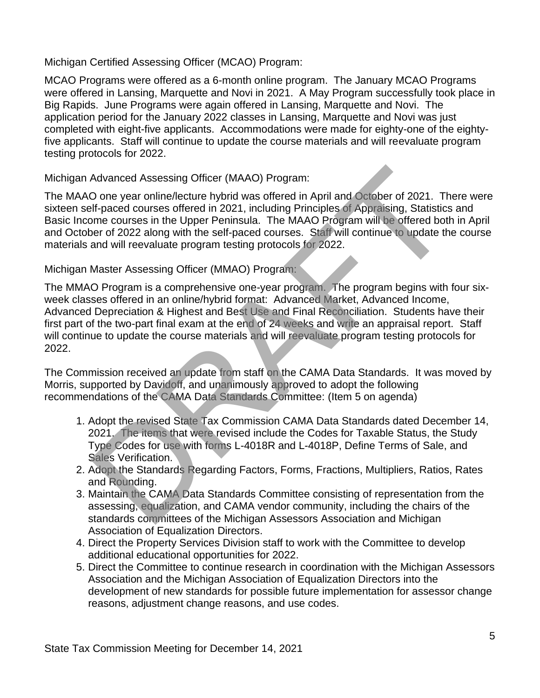Michigan Certified Assessing Officer (MCAO) Program:

MCAO Programs were offered as a 6-month online program. The January MCAO Programs were offered in Lansing, Marquette and Novi in 2021. A May Program successfully took place in Big Rapids. June Programs were again offered in Lansing, Marquette and Novi. The application period for the January 2022 classes in Lansing, Marquette and Novi was just completed with eight-five applicants. Accommodations were made for eighty-one of the eightyfive applicants. Staff will continue to update the course materials and will reevaluate program testing protocols for 2022.

Michigan Advanced Assessing Officer (MAAO) Program:

The MAAO one year online/lecture hybrid was offered in April and October of 2021. There were sixteen self-paced courses offered in 2021, including Principles of Appraising, Statistics and Basic Income courses in the Upper Peninsula. The MAAO Program will be offered both in April and October of 2022 along with the self-paced courses. Staff will continue to update the course materials and will reevaluate program testing protocols for 2022.

# Michigan Master Assessing Officer (MMAO) Program:

The MMAO Program is a comprehensive one-year program. The program begins with four sixweek classes offered in an online/hybrid format: Advanced Market, Advanced Income, Advanced Depreciation & Highest and Best Use and Final Reconciliation. Students have their first part of the two-part final exam at the end of 24 weeks and write an appraisal report. Staff will continue to update the course materials and will reevaluate program testing protocols for 2022. Advanced Assessing Officer (MAAO) Program:<br>
Done year online/lecture hybrid was offered in April and October of 2021. The<br>
Inf-paced courses offered in 2021, including Principles of Appraising, Statistics<br>
Der Pontines in

The Commission received an update from staff on the CAMA Data Standards. It was moved by Morris, supported by Davidoff, and unanimously approved to adopt the following recommendations of the CAMA Data Standards Committee: (Item 5 on agenda)

- 1. Adopt the revised State Tax Commission CAMA Data Standards dated December 14, 2021. The items that were revised include the Codes for Taxable Status, the Study Type Codes for use with forms L-4018R and L-4018P, Define Terms of Sale, and Sales Verification.
- 2. Adopt the Standards Regarding Factors, Forms, Fractions, Multipliers, Ratios, Rates and Rounding.
- 3. Maintain the CAMA Data Standards Committee consisting of representation from the assessing, equalization, and CAMA vendor community, including the chairs of the standards committees of the Michigan Assessors Association and Michigan Association of Equalization Directors.
- 4. Direct the Property Services Division staff to work with the Committee to develop additional educational opportunities for 2022.
- 5. Direct the Committee to continue research in coordination with the Michigan Assessors Association and the Michigan Association of Equalization Directors into the development of new standards for possible future implementation for assessor change reasons, adjustment change reasons, and use codes.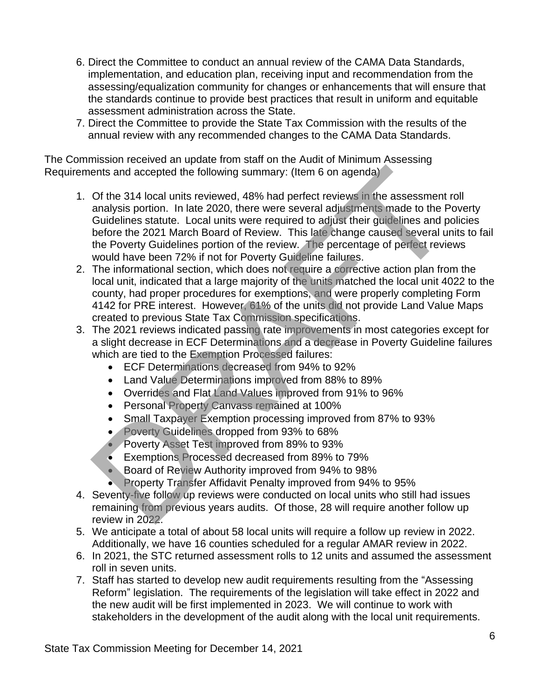- 6. Direct the Committee to conduct an annual review of the CAMA Data Standards, implementation, and education plan, receiving input and recommendation from the assessing/equalization community for changes or enhancements that will ensure that the standards continue to provide best practices that result in uniform and equitable assessment administration across the State.
- 7. Direct the Committee to provide the State Tax Commission with the results of the annual review with any recommended changes to the CAMA Data Standards.

The Commission received an update from staff on the Audit of Minimum Assessing Requirements and accepted the following summary: (Item 6 on agenda)

- 1. Of the 314 local units reviewed, 48% had perfect reviews in the assessment roll analysis portion. In late 2020, there were several adjustments made to the Poverty Guidelines statute. Local units were required to adjust their guidelines and policies before the 2021 March Board of Review. This late change caused several units to fail the Poverty Guidelines portion of the review. The percentage of perfect reviews would have been 72% if not for Poverty Guideline failures. ents and accepted the following summary: (Item 6 on agenda)<br>
Of the 314 local units reviewed, 48% had perfect reviews in the assessment<br>
analysis portion. In late 2020, there were several adjustments made to the Pudelines
- 2. The informational section, which does not require a corrective action plan from the local unit, indicated that a large majority of the units matched the local unit 4022 to the county, had proper procedures for exemptions, and were properly completing Form 4142 for PRE interest. However, 61% of the units did not provide Land Value Maps created to previous State Tax Commission specifications.
- 3. The 2021 reviews indicated passing rate improvements in most categories except for a slight decrease in ECF Determinations and a decrease in Poverty Guideline failures which are tied to the Exemption Processed failures:
	- ECF Determinations decreased from 94% to 92%
	- Land Value Determinations improved from 88% to 89%
	- Overrides and Flat Land Values improved from 91% to 96%
	- Personal Property Canvass remained at 100%
	- Small Taxpayer Exemption processing improved from 87% to 93%
	- Poverty Guidelines dropped from 93% to 68%
	- Poverty Asset Test improved from 89% to 93%
	- Exemptions Processed decreased from 89% to 79%
	- Board of Review Authority improved from 94% to 98%
	- Property Transfer Affidavit Penalty improved from 94% to 95%
- 4. Seventy-five follow up reviews were conducted on local units who still had issues remaining from previous years audits. Of those, 28 will require another follow up review in 2022.
- 5. We anticipate a total of about 58 local units will require a follow up review in 2022. Additionally, we have 16 counties scheduled for a regular AMAR review in 2022.
- 6. In 2021, the STC returned assessment rolls to 12 units and assumed the assessment roll in seven units.
- 7. Staff has started to develop new audit requirements resulting from the "Assessing Reform" legislation. The requirements of the legislation will take effect in 2022 and the new audit will be first implemented in 2023. We will continue to work with stakeholders in the development of the audit along with the local unit requirements.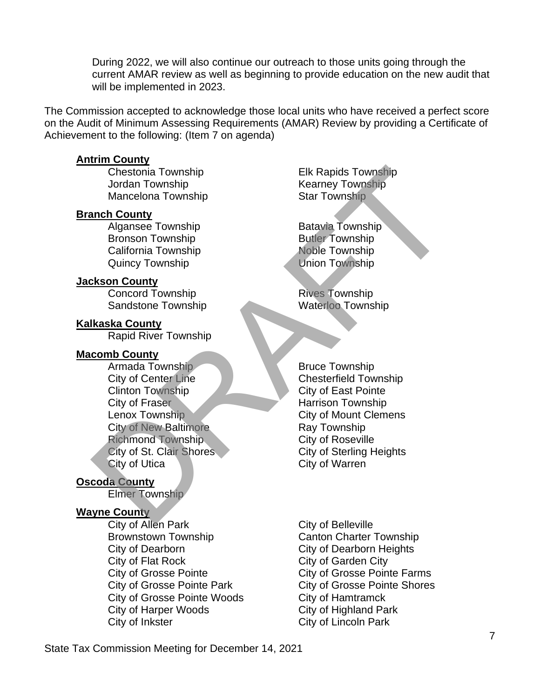During 2022, we will also continue our outreach to those units going through the current AMAR review as well as beginning to provide education on the new audit that will be implemented in 2023.

The Commission accepted to acknowledge those local units who have received a perfect score on the Audit of Minimum Assessing Requirements (AMAR) Review by providing a Certificate of Achievement to the following: (Item 7 on agenda)

### **Antrim County**

Jordan Township **Kearney Township** Mancelona Township Star Township

## **Branch County**

Algansee Township **Batavia Township** Bronson Township **Butler Township** California Township Noble Township Quincy Township Contract Communist Union Township

## **Jackson County**

Concord Township **Rives Township** Sandstone Township Waterloo Township

## **Kalkaska County**

Rapid River Township

### **Macomb County**

Armada Township Bruce Township City of Center Line Chesterfield Township Clinton Township City of East Pointe City of Fraser Harrison Township Lenox Township City of Mount Clemens City of New Baltimore Ray Township Richmond Township City of Roseville City of St. Clair Shores City of Sterling Heights City of Utica City of Warren Chestonia Township<br>
Jordan Township<br>
Mancelona Township<br>
Mancelona Township<br>
Mancelona Township<br>
Algansee Township<br>
Example Star Township<br>
Example Star Township<br>
California Township<br>
California Township<br>
California Townshi

# **Oscoda County**

Elmer Township

### **Wayne County**

City of Allen Park City of Belleville Brownstown Township Canton Charter Township City of Dearborn City of Dearborn Heights City of Flat Rock City of Garden City City of Grosse Pointe City of Grosse Pointe Farms City of Grosse Pointe Woods City of Hamtramck City of Harper Woods City of Highland Park City of Inkster City of Lincoln Park

Chestonia Township Elk Rapids Township

City of Grosse Pointe Park City of Grosse Pointe Shores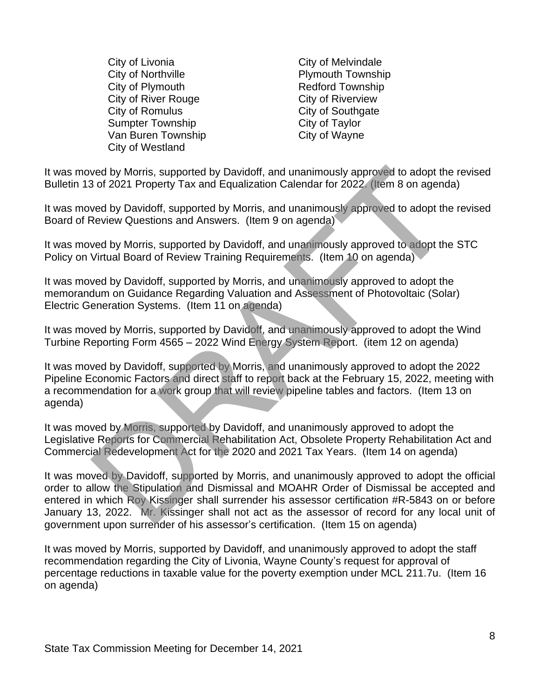City of Livonia City of Melvindale City of Northville **Plymouth Township** City of Plymouth **Redford Township** City of River Rouge City of Riverview City of Romulus City of Southgate Sumpter Township City of Taylor Van Buren Township City of Wayne City of Westland

It was moved by Morris, supported by Davidoff, and unanimously approved to adopt the revised Bulletin 13 of 2021 Property Tax and Equalization Calendar for 2022. (Item 8 on agenda)

It was moved by Davidoff, supported by Morris, and unanimously approved to adopt the revised Board of Review Questions and Answers. (Item 9 on agenda)

It was moved by Morris, supported by Davidoff, and unanimously approved to adopt the STC Policy on Virtual Board of Review Training Requirements. (Item 10 on agenda)

It was moved by Davidoff, supported by Morris, and unanimously approved to adopt the memorandum on Guidance Regarding Valuation and Assessment of Photovoltaic (Solar) Electric Generation Systems. (Item 11 on agenda)

It was moved by Morris, supported by Davidoff, and unanimously approved to adopt the Wind Turbine Reporting Form 4565 – 2022 Wind Energy System Report. (item 12 on agenda)

It was moved by Davidoff, supported by Morris, and unanimously approved to adopt the 2022 Pipeline Economic Factors and direct staff to report back at the February 15, 2022, meeting with a recommendation for a work group that will review pipeline tables and factors. (Item 13 on agenda)

It was moved by Morris, supported by Davidoff, and unanimously approved to adopt the Legislative Reports for Commercial Rehabilitation Act, Obsolete Property Rehabilitation Act and Commercial Redevelopment Act for the 2020 and 2021 Tax Years. (Item 14 on agenda)

It was moved by Davidoff, supported by Morris, and unanimously approved to adopt the official order to allow the Stipulation and Dismissal and MOAHR Order of Dismissal be accepted and entered in which Roy Kissinger shall surrender his assessor certification #R-5843 on or before January 13, 2022. Mr. Kissinger shall not act as the assessor of record for any local unit of government upon surrender of his assessor's certification. (Item 15 on agenda) wed by Morris, supported by Davidoff, and unanimously approved to adopt the<br>Sof 2021 Property Tax and Equalization Calendar for 2022. (Item 8 on agend<br>wed by Davidoff, supported by Morris, and unanimously approved to adopt

It was moved by Morris, supported by Davidoff, and unanimously approved to adopt the staff recommendation regarding the City of Livonia, Wayne County's request for approval of percentage reductions in taxable value for the poverty exemption under MCL 211.7u. (Item 16 on agenda)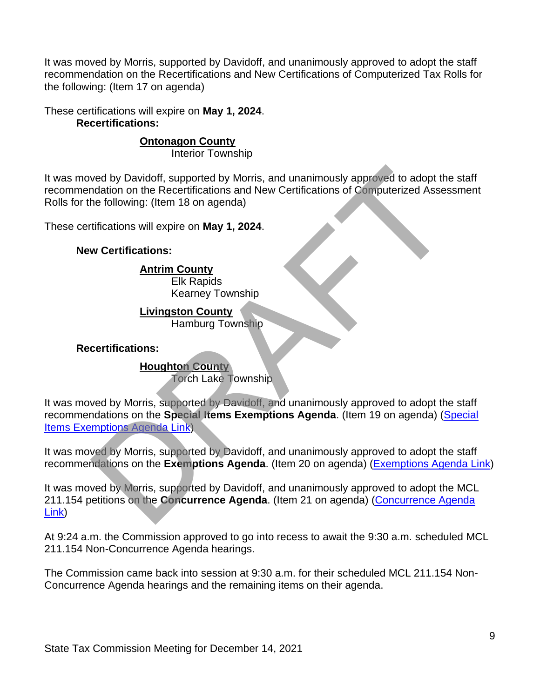It was moved by Morris, supported by Davidoff, and unanimously approved to adopt the staff recommendation on the Recertifications and New Certifications of Computerized Tax Rolls for the following: (Item 17 on agenda)

These certifications will expire on **May 1, 2024**. **Recertifications:**

## **Ontonagon County**

Interior Township

It was moved by Davidoff, supported by Morris, and unanimously approved to adopt the staff recommendation on the Recertifications and New Certifications of Computerized Assessment Rolls for the following: (Item 18 on agenda)

These certifications will expire on **May 1, 2024**.

### **New Certifications:**

## **Antrim County**

Elk Rapids Kearney Township

## **Livingston County**

Hamburg Township

### **Recertifications:**

### **Houghton County**

Torch Lake Township

It was moved by Morris, supported by Davidoff, and unanimously approved to adopt the staff recommendations on the **Special Items Exemptions Agenda**. (Item 19 on agenda) [\(Special](https://www.michigan.gov/documents/treasury/19_Exemptions_Special_Items_Agenda_742976_7.pdf)  [Items Exemptions Agenda Link\)](https://www.michigan.gov/documents/treasury/19_Exemptions_Special_Items_Agenda_742976_7.pdf) Net a by Davidoff, supported by Morris, and unanimously approved to adopt the<br>
Indiation on the Recertifications and New Certifications of Computerized Asses<br>
the following: (Item 18 on agenda)<br>
Iffications will expire on

It was moved by Morris, supported by Davidoff, and unanimously approved to adopt the staff recommendations on the **Exemptions Agenda**. (Item 20 on agenda) [\(Exemptions Agenda Link\)](https://www.michigan.gov/documents/treasury/20_Exemptions_Agenda_742977_7.pdf)

It was moved by Morris, supported by Davidoff, and unanimously approved to adopt the MCL 211.154 petitions on the **Concurrence Agenda**. (Item 21 on agenda) (Concurrence Agenda [Link\)](https://www.michigan.gov/documents/treasury/21_Concurrence_Agenda_742978_7.pdf)

At 9:24 a.m. the Commission approved to go into recess to await the 9:30 a.m. scheduled MCL 211.154 Non-Concurrence Agenda hearings.

The Commission came back into session at 9:30 a.m. for their scheduled MCL 211.154 Non-Concurrence Agenda hearings and the remaining items on their agenda.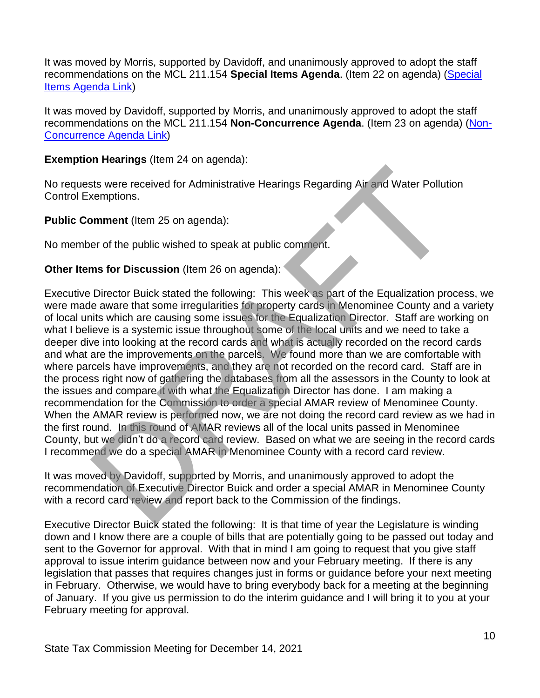It was moved by Morris, supported by Davidoff, and unanimously approved to adopt the staff recommendations on the MCL 211.154 **Special Items Agenda**. (Item 22 on agenda) [\(Special](https://www.michigan.gov/documents/treasury/22_154_Special_Items_Agenda_742979_7.pdf)  [Items Agenda Link\)](https://www.michigan.gov/documents/treasury/22_154_Special_Items_Agenda_742979_7.pdf)

It was moved by Davidoff, supported by Morris, and unanimously approved to adopt the staff recommendations on the MCL 211.154 **Non-Concurrence Agenda**. (Item 23 on agenda) [\(Non-](https://www.michigan.gov/documents/treasury/23_NonConcurrence_Agenda_742980_7.pdf)[Concurrence Agenda Link\)](https://www.michigan.gov/documents/treasury/23_NonConcurrence_Agenda_742980_7.pdf)

**Exemption Hearings** (Item 24 on agenda):

No requests were received for Administrative Hearings Regarding Air and Water Pollution Control Exemptions.

**Public Comment** (Item 25 on agenda):

No member of the public wished to speak at public comment.

## **Other Items for Discussion** (Item 26 on agenda):

Executive Director Buick stated the following: This week as part of the Equalization process, we were made aware that some irregularities for property cards in Menominee County and a variety of local units which are causing some issues for the Equalization Director. Staff are working on what I believe is a systemic issue throughout some of the local units and we need to take a deeper dive into looking at the record cards and what is actually recorded on the record cards and what are the improvements on the parcels. We found more than we are comfortable with where parcels have improvements, and they are not recorded on the record card. Staff are in the process right now of gathering the databases from all the assessors in the County to look at the issues and compare it with what the Equalization Director has done. I am making a recommendation for the Commission to order a special AMAR review of Menominee County. When the AMAR review is performed now, we are not doing the record card review as we had in the first round. In this round of AMAR reviews all of the local units passed in Menominee County, but we didn't do a record card review. Based on what we are seeing in the record cards I recommend we do a special AMAR in Menominee County with a record card review. the work of the protocol of Administrative Hearings Regarding Air and Water Polluti<br>
semptions.<br>
Summent (Item 25 on agenda):<br>
Director Buick wished to speak at public comment.<br>
The public wished to speak at public comment

It was moved by Davidoff, supported by Morris, and unanimously approved to adopt the recommendation of Executive Director Buick and order a special AMAR in Menominee County with a record card review and report back to the Commission of the findings.

Executive Director Buick stated the following: It is that time of year the Legislature is winding down and I know there are a couple of bills that are potentially going to be passed out today and sent to the Governor for approval. With that in mind I am going to request that you give staff approval to issue interim guidance between now and your February meeting. If there is any legislation that passes that requires changes just in forms or guidance before your next meeting in February. Otherwise, we would have to bring everybody back for a meeting at the beginning of January. If you give us permission to do the interim guidance and I will bring it to you at your February meeting for approval.